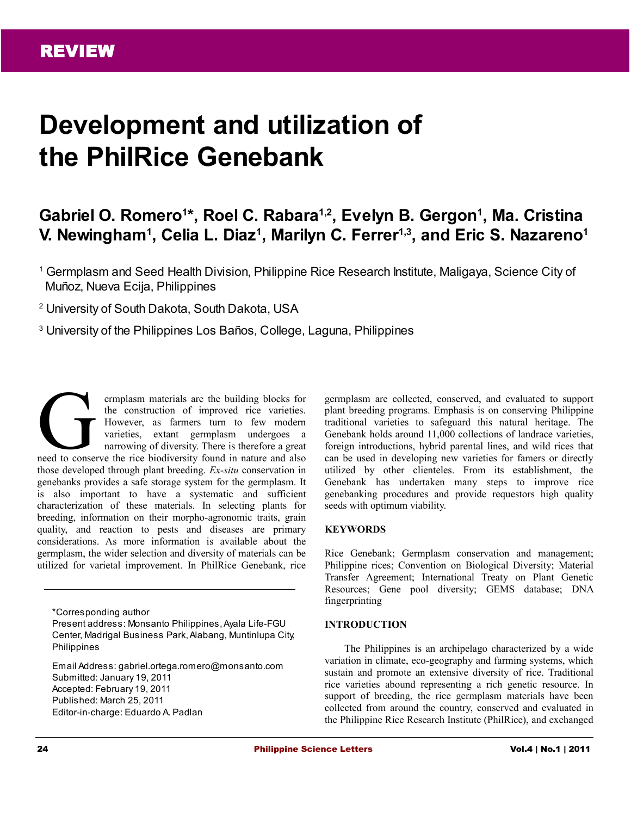# **Development and utilization of the PhilRice Genebank**

## **Gabriel O. Romero<sup>1</sup> \*, Roel C. Rabara1,2, Evelyn B. Gergon<sup>1</sup> , Ma. Cristina V. Newingham<sup>1</sup> , Celia L. Diaz<sup>1</sup> , Marilyn C. Ferrer1,3, and Eric S. Nazareno<sup>1</sup>**

<sup>1</sup> Germplasm and Seed Health Division, Philippine Rice Research Institute, Maligaya, Science City of Muñoz, Nueva Ecija, Philippines

2 University of South Dakota, South Dakota, USA

3 University of the Philippines Los Baños, College, Laguna, Philippines

ermplasm materials are the building blocks for the construction of improved rice varieties. However, as farmers turn to few modern varieties, extant germplasm undergoes a narrowing of diversity. There is therefore a great ermplasm materials are the building blocks for<br>the construction of improved rice varieties.<br>However, as farmers turn to few modern<br>varieties, extant germplasm undergoes a<br>narrowing of diversity. There is therefore a great<br> those developed through plant breeding. *Ex-situ* conservation in genebanks provides a safe storage system for the germplasm. It is also important to have a systematic and sufficient characterization of these materials. In selecting plants for breeding, information on their morpho-agronomic traits, grain quality, and reaction to pests and diseases are primary considerations. As more information is available about the germplasm, the wider selection and diversity of materials can be utilized for varietal improvement. In PhilRice Genebank, rice

\*Corresponding author

Present address: Monsanto Philippines, Ayala Life-FGU Center, Madrigal Business Park, Alabang, Muntinlupa City, Philippines

Email Address: gabriel.ortega.romero@monsanto.com Submitted: January 19, 2011 Accepted: February 19, 2011 Published: March 25, 2011 Editor-in-charge: Eduardo A. Padlan

germplasm are collected, conserved, and evaluated to support plant breeding programs. Emphasis is on conserving Philippine traditional varieties to safeguard this natural heritage. The Genebank holds around 11,000 collections of landrace varieties, foreign introductions, hybrid parental lines, and wild rices that can be used in developing new varieties for famers or directly utilized by other clienteles. From its establishment, the Genebank has undertaken many steps to improve rice genebanking procedures and provide requestors high quality seeds with optimum viability.

#### **KEYWORDS**

Rice Genebank; Germplasm conservation and management; Philippine rices; Convention on Biological Diversity; Material Transfer Agreement; International Treaty on Plant Genetic Resources; Gene pool diversity; GEMS database; DNA fingerprinting

#### **INTRODUCTION**

The Philippines is an archipelago characterized by a wide variation in climate, eco-geography and farming systems, which sustain and promote an extensive diversity of rice. Traditional rice varieties abound representing a rich genetic resource. In support of breeding, the rice germplasm materials have been collected from around the country, conserved and evaluated in the Philippine Rice Research Institute (PhilRice), and exchanged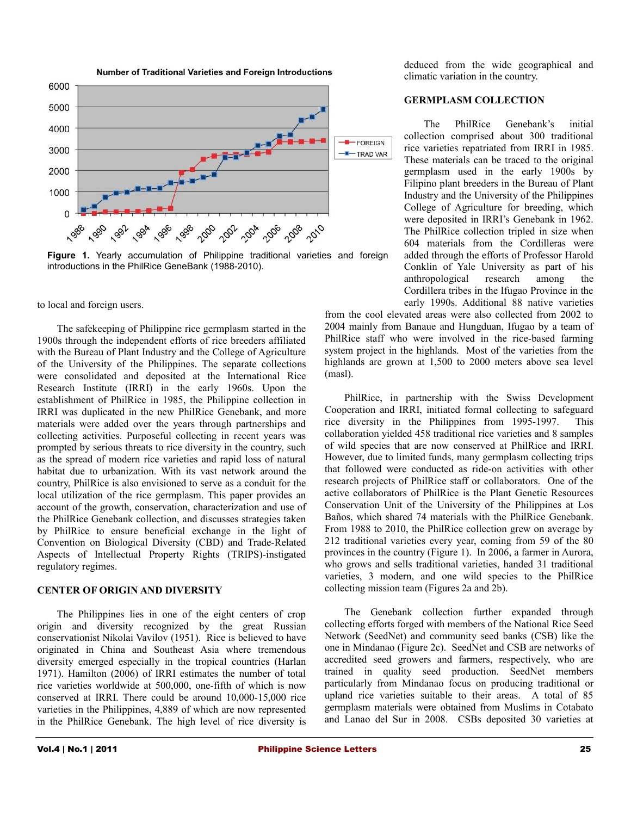



**Figure 1.** Yearly accumulation of Philippine traditional varieties and foreign introductions in the PhilRice GeneBank (1988-2010).

to local and foreign users.

The safekeeping of Philippine rice germplasm started in the 1900s through the independent efforts of rice breeders affiliated with the Bureau of Plant Industry and the College of Agriculture of the University of the Philippines. The separate collections were consolidated and deposited at the International Rice Research Institute (IRRI) in the early 1960s. Upon the establishment of PhilRice in 1985, the Philippine collection in IRRI was duplicated in the new PhilRice Genebank, and more materials were added over the years through partnerships and collecting activities. Purposeful collecting in recent years was prompted by serious threats to rice diversity in the country, such as the spread of modern rice varieties and rapid loss of natural habitat due to urbanization. With its vast network around the country, PhilRice is also envisioned to serve as a conduit for the local utilization of the rice germplasm. This paper provides an account of the growth, conservation, characterization and use of the PhilRice Genebank collection, and discusses strategies taken by PhilRice to ensure beneficial exchange in the light of Convention on Biological Diversity (CBD) and Trade-Related Aspects of Intellectual Property Rights (TRIPS)-instigated regulatory regimes.

#### **CENTER OF ORIGIN AND DIVERSITY**

The Philippines lies in one of the eight centers of crop origin and diversity recognized by the great Russian conservationist Nikolai Vavilov (1951). Rice is believed to have originated in China and Southeast Asia where tremendous diversity emerged especially in the tropical countries (Harlan 1971). Hamilton (2006) of IRRI estimates the number of total rice varieties worldwide at 500,000, one-fifth of which is now conserved at IRRI. There could be around 10,000-15,000 rice varieties in the Philippines, 4,889 of which are now represented in the PhilRice Genebank. The high level of rice diversity is deduced from the wide geographical and climatic variation in the country.

#### **GERMPLASM COLLECTION**

The PhilRice Genebank's initial collection comprised about 300 traditional rice varieties repatriated from IRRI in 1985. These materials can be traced to the original germplasm used in the early 1900s by Filipino plant breeders in the Bureau of Plant Industry and the University of the Philippines College of Agriculture for breeding, which were deposited in IRRI's Genebank in 1962. The PhilRice collection tripled in size when 604 materials from the Cordilleras were added through the efforts of Professor Harold Conklin of Yale University as part of his anthropological research among the Cordillera tribes in the Ifugao Province in the early 1990s. Additional 88 native varieties

from the cool elevated areas were also collected from 2002 to 2004 mainly from Banaue and Hungduan, Ifugao by a team of PhilRice staff who were involved in the rice-based farming system project in the highlands. Most of the varieties from the highlands are grown at 1,500 to 2000 meters above sea level (masl).

PhilRice, in partnership with the Swiss Development Cooperation and IRRI, initiated formal collecting to safeguard rice diversity in the Philippines from 1995-1997. This collaboration yielded 458 traditional rice varieties and 8 samples of wild species that are now conserved at PhilRice and IRRI. However, due to limited funds, many germplasm collecting trips that followed were conducted as ride-on activities with other research projects of PhilRice staff or collaborators. One of the active collaborators of PhilRice is the Plant Genetic Resources Conservation Unit of the University of the Philippines at Los Baños, which shared 74 materials with the PhilRice Genebank. From 1988 to 2010, the PhilRice collection grew on average by 212 traditional varieties every year, coming from 59 of the 80 provinces in the country (Figure 1). In 2006, a farmer in Aurora, who grows and sells traditional varieties, handed 31 traditional varieties, 3 modern, and one wild species to the PhilRice collecting mission team (Figures 2a and 2b).

The Genebank collection further expanded through collecting efforts forged with members of the National Rice Seed Network (SeedNet) and community seed banks (CSB) like the one in Mindanao (Figure 2c). SeedNet and CSB are networks of accredited seed growers and farmers, respectively, who are trained in quality seed production. SeedNet members particularly from Mindanao focus on producing traditional or upland rice varieties suitable to their areas. A total of 85 germplasm materials were obtained from Muslims in Cotabato and Lanao del Sur in 2008. CSBs deposited 30 varieties at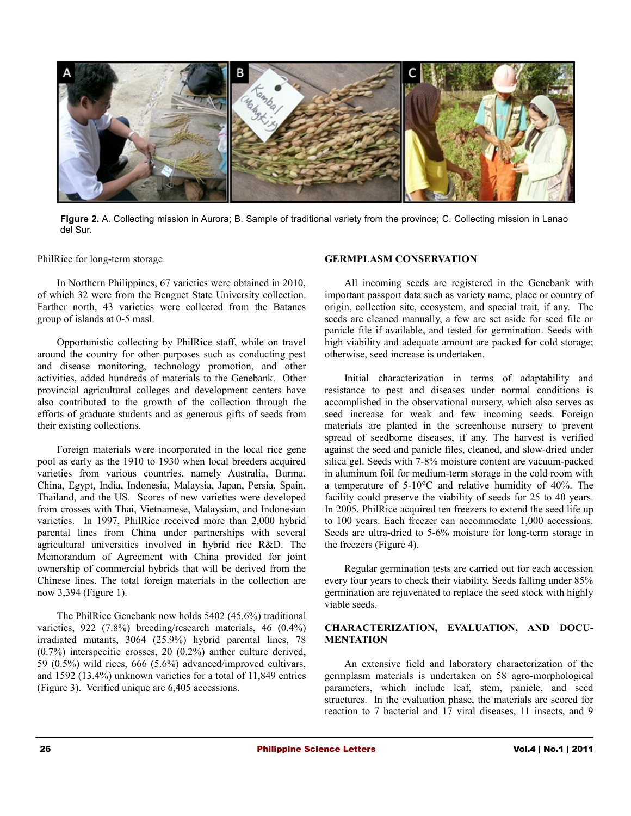

**Figure 2.** A. Collecting mission in Aurora; B. Sample of traditional variety from the province; C. Collecting mission in Lanao del Sur.

PhilRice for long-term storage.

In Northern Philippines, 67 varieties were obtained in 2010, of which 32 were from the Benguet State University collection. Farther north, 43 varieties were collected from the Batanes group of islands at 0-5 masl.

Opportunistic collecting by PhilRice staff, while on travel around the country for other purposes such as conducting pest and disease monitoring, technology promotion, and other activities, added hundreds of materials to the Genebank. Other provincial agricultural colleges and development centers have also contributed to the growth of the collection through the efforts of graduate students and as generous gifts of seeds from their existing collections.

Foreign materials were incorporated in the local rice gene pool as early as the 1910 to 1930 when local breeders acquired varieties from various countries, namely Australia, Burma, China, Egypt, India, Indonesia, Malaysia, Japan, Persia, Spain, Thailand, and the US. Scores of new varieties were developed from crosses with Thai, Vietnamese, Malaysian, and Indonesian varieties. In 1997, PhilRice received more than 2,000 hybrid parental lines from China under partnerships with several agricultural universities involved in hybrid rice R&D. The Memorandum of Agreement with China provided for joint ownership of commercial hybrids that will be derived from the Chinese lines. The total foreign materials in the collection are now 3,394 (Figure 1).

The PhilRice Genebank now holds 5402 (45.6%) traditional varieties, 922 (7.8%) breeding/research materials, 46 (0.4%) irradiated mutants, 3064 (25.9%) hybrid parental lines, 78 (0.7%) interspecific crosses, 20 (0.2%) anther culture derived, 59 (0.5%) wild rices, 666 (5.6%) advanced/improved cultivars, and 1592 (13.4%) unknown varieties for a total of 11,849 entries (Figure 3). Verified unique are 6,405 accessions.

#### **GERMPLASM CONSERVATION**

All incoming seeds are registered in the Genebank with important passport data such as variety name, place or country of origin, collection site, ecosystem, and special trait, if any. The seeds are cleaned manually, a few are set aside for seed file or panicle file if available, and tested for germination. Seeds with high viability and adequate amount are packed for cold storage; otherwise, seed increase is undertaken.

Initial characterization in terms of adaptability and resistance to pest and diseases under normal conditions is accomplished in the observational nursery, which also serves as seed increase for weak and few incoming seeds. Foreign materials are planted in the screenhouse nursery to prevent spread of seedborne diseases, if any. The harvest is verified against the seed and panicle files, cleaned, and slow-dried under silica gel. Seeds with 7-8% moisture content are vacuum-packed in aluminum foil for medium-term storage in the cold room with a temperature of 5-10°C and relative humidity of 40%. The facility could preserve the viability of seeds for 25 to 40 years. In 2005, PhilRice acquired ten freezers to extend the seed life up to 100 years. Each freezer can accommodate 1,000 accessions. Seeds are ultra-dried to 5-6% moisture for long-term storage in the freezers (Figure 4).

Regular germination tests are carried out for each accession every four years to check their viability. Seeds falling under 85% germination are rejuvenated to replace the seed stock with highly viable seeds.

#### **CHARACTERIZATION, EVALUATION, AND DOCU-MENTATION**

An extensive field and laboratory characterization of the germplasm materials is undertaken on 58 agro-morphological parameters, which include leaf, stem, panicle, and seed structures. In the evaluation phase, the materials are scored for reaction to 7 bacterial and 17 viral diseases, 11 insects, and 9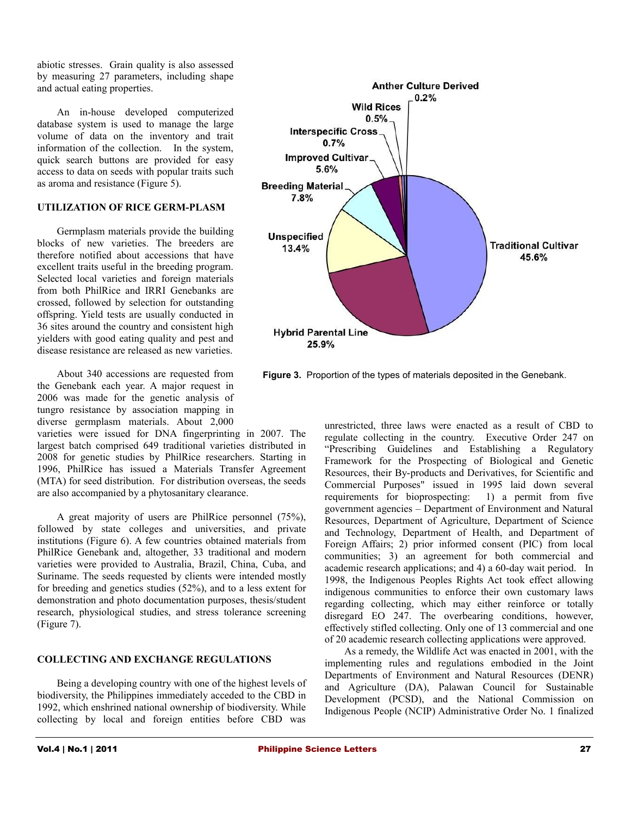abiotic stresses. Grain quality is also assessed by measuring 27 parameters, including shape and actual eating properties.

An in-house developed computerized database system is used to manage the large volume of data on the inventory and trait information of the collection. In the system, quick search buttons are provided for easy access to data on seeds with popular traits such as aroma and resistance (Figure 5).

#### **UTILIZATION OF RICE GERM-PLASM**

Germplasm materials provide the building blocks of new varieties. The breeders are therefore notified about accessions that have excellent traits useful in the breeding program. Selected local varieties and foreign materials from both PhilRice and IRRI Genebanks are crossed, followed by selection for outstanding offspring. Yield tests are usually conducted in 36 sites around the country and consistent high yielders with good eating quality and pest and disease resistance are released as new varieties.

About 340 accessions are requested from the Genebank each year. A major request in 2006 was made for the genetic analysis of tungro resistance by association mapping in diverse germplasm materials. About 2,000

varieties were issued for DNA fingerprinting in 2007. The largest batch comprised 649 traditional varieties distributed in 2008 for genetic studies by PhilRice researchers. Starting in 1996, PhilRice has issued a Materials Transfer Agreement (MTA) for seed distribution. For distribution overseas, the seeds are also accompanied by a phytosanitary clearance.

A great majority of users are PhilRice personnel (75%), followed by state colleges and universities, and private institutions (Figure 6). A few countries obtained materials from PhilRice Genebank and, altogether, 33 traditional and modern varieties were provided to Australia, Brazil, China, Cuba, and Suriname. The seeds requested by clients were intended mostly for breeding and genetics studies (52%), and to a less extent for demonstration and photo documentation purposes, thesis/student research, physiological studies, and stress tolerance screening (Figure 7).

#### **COLLECTING AND EXCHANGE REGULATIONS**

Being a developing country with one of the highest levels of biodiversity, the Philippines immediately acceded to the CBD in 1992, which enshrined national ownership of biodiversity. While collecting by local and foreign entities before CBD was



**Figure 3.** Proportion of the types of materials deposited in the Genebank.

unrestricted, three laws were enacted as a result of CBD to regulate collecting in the country. Executive Order 247 on "Prescribing Guidelines and Establishing a Regulatory Framework for the Prospecting of Biological and Genetic Resources, their By-products and Derivatives, for Scientific and Commercial Purposes" issued in 1995 laid down several requirements for bioprospecting: 1) a permit from five government agencies – Department of Environment and Natural Resources, Department of Agriculture, Department of Science and Technology, Department of Health, and Department of Foreign Affairs; 2) prior informed consent (PIC) from local communities; 3) an agreement for both commercial and academic research applications; and 4) a 60-day wait period. In 1998, the Indigenous Peoples Rights Act took effect allowing indigenous communities to enforce their own customary laws regarding collecting, which may either reinforce or totally disregard EO 247. The overbearing conditions, however, effectively stifled collecting. Only one of 13 commercial and one of 20 academic research collecting applications were approved.

As a remedy, the Wildlife Act was enacted in 2001, with the implementing rules and regulations embodied in the Joint Departments of Environment and Natural Resources (DENR) and Agriculture (DA), Palawan Council for Sustainable Development (PCSD), and the National Commission on Indigenous People (NCIP) Administrative Order No. 1 finalized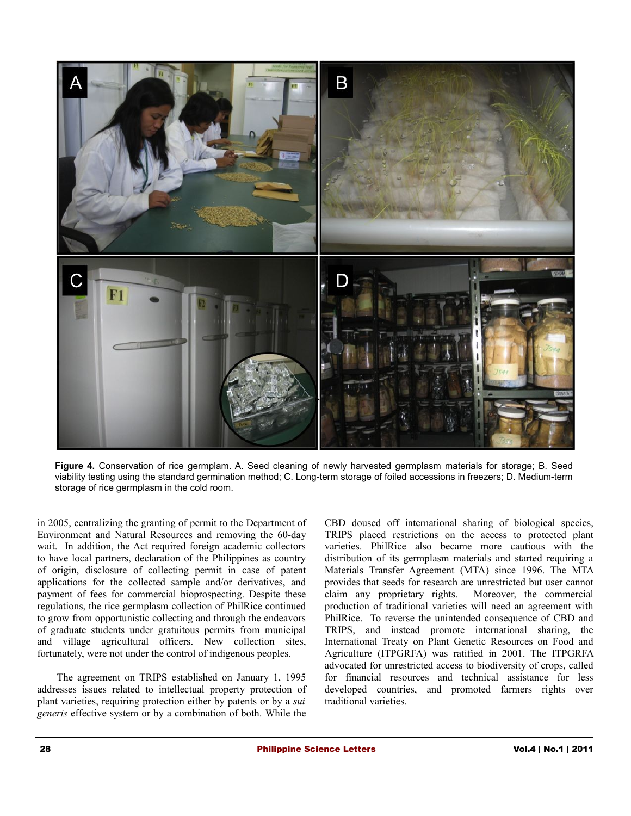

**Figure 4.** Conservation of rice germplam. A. Seed cleaning of newly harvested germplasm materials for storage; B. Seed viability testing using the standard germination method; C. Long-term storage of foiled accessions in freezers; D. Medium-term storage of rice germplasm in the cold room.

in 2005, centralizing the granting of permit to the Department of Environment and Natural Resources and removing the 60-day wait. In addition, the Act required foreign academic collectors to have local partners, declaration of the Philippines as country of origin, disclosure of collecting permit in case of patent applications for the collected sample and/or derivatives, and payment of fees for commercial bioprospecting. Despite these regulations, the rice germplasm collection of PhilRice continued to grow from opportunistic collecting and through the endeavors of graduate students under gratuitous permits from municipal and village agricultural officers. New collection sites, fortunately, were not under the control of indigenous peoples.

The agreement on TRIPS established on January 1, 1995 addresses issues related to intellectual property protection of plant varieties, requiring protection either by patents or by a *sui generis* effective system or by a combination of both. While the

CBD doused off international sharing of biological species, TRIPS placed restrictions on the access to protected plant varieties. PhilRice also became more cautious with the distribution of its germplasm materials and started requiring a Materials Transfer Agreement (MTA) since 1996. The MTA provides that seeds for research are unrestricted but user cannot claim any proprietary rights. Moreover, the commercial production of traditional varieties will need an agreement with PhilRice. To reverse the unintended consequence of CBD and TRIPS, and instead promote international sharing, the International Treaty on Plant Genetic Resources on Food and Agriculture (ITPGRFA) was ratified in 2001. The ITPGRFA advocated for unrestricted access to biodiversity of crops, called for financial resources and technical assistance for less developed countries, and promoted farmers rights over traditional varieties.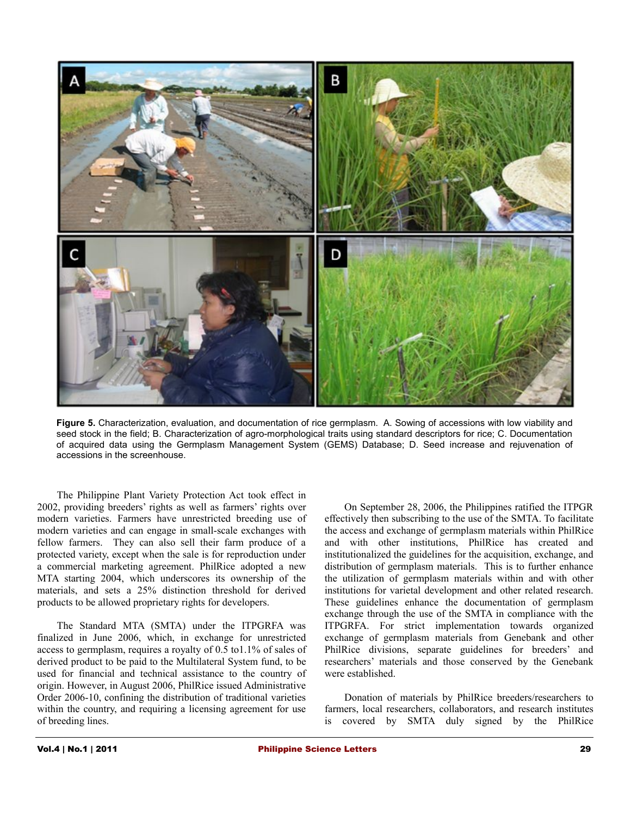

**Figure 5.** Characterization, evaluation, and documentation of rice germplasm. A. Sowing of accessions with low viability and seed stock in the field; B. Characterization of agro-morphological traits using standard descriptors for rice; C. Documentation of acquired data using the Germplasm Management System (GEMS) Database; D. Seed increase and rejuvenation of accessions in the screenhouse.

The Philippine Plant Variety Protection Act took effect in 2002, providing breeders' rights as well as farmers' rights over modern varieties. Farmers have unrestricted breeding use of modern varieties and can engage in small-scale exchanges with fellow farmers. They can also sell their farm produce of a protected variety, except when the sale is for reproduction under a commercial marketing agreement. PhilRice adopted a new MTA starting 2004, which underscores its ownership of the materials, and sets a 25% distinction threshold for derived products to be allowed proprietary rights for developers.

The Standard MTA (SMTA) under the ITPGRFA was finalized in June 2006, which, in exchange for unrestricted access to germplasm, requires a royalty of 0.5 to1.1% of sales of derived product to be paid to the Multilateral System fund, to be used for financial and technical assistance to the country of origin. However, in August 2006, PhilRice issued Administrative Order 2006-10, confining the distribution of traditional varieties within the country, and requiring a licensing agreement for use of breeding lines.

On September 28, 2006, the Philippines ratified the ITPGR effectively then subscribing to the use of the SMTA. To facilitate the access and exchange of germplasm materials within PhilRice and with other institutions, PhilRice has created and institutionalized the guidelines for the acquisition, exchange, and distribution of germplasm materials. This is to further enhance the utilization of germplasm materials within and with other institutions for varietal development and other related research. These guidelines enhance the documentation of germplasm exchange through the use of the SMTA in compliance with the ITPGRFA. For strict implementation towards organized exchange of germplasm materials from Genebank and other PhilRice divisions, separate guidelines for breeders' and researchers' materials and those conserved by the Genebank were established.

Donation of materials by PhilRice breeders/researchers to farmers, local researchers, collaborators, and research institutes is covered by SMTA duly signed by the PhilRice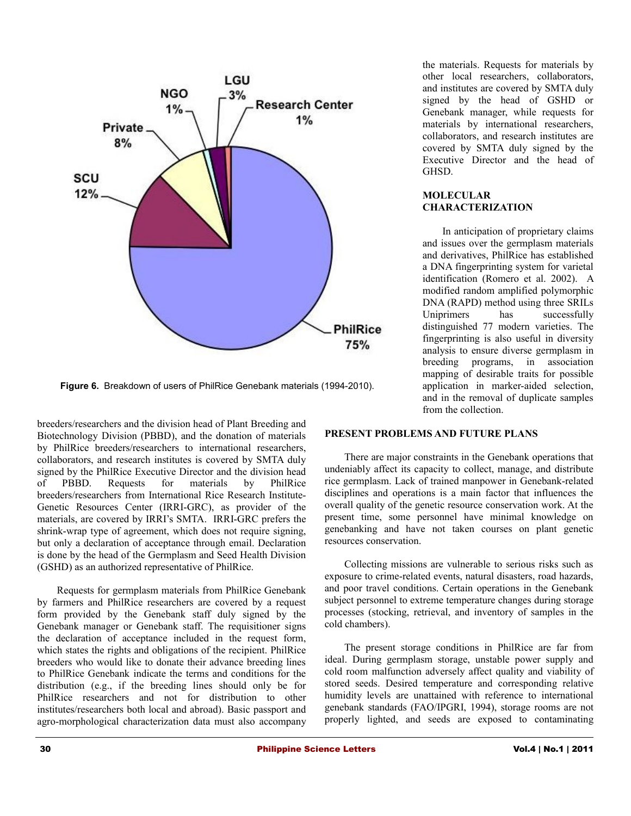

the materials. Requests for materials by other local researchers, collaborators, and institutes are covered by SMTA duly signed by the head of GSHD or Genebank manager, while requests for materials by international researchers, collaborators, and research institutes are covered by SMTA duly signed by the Executive Director and the head of GHSD.

#### **MOLECULAR CHARACTERIZATION**

In anticipation of proprietary claims and issues over the germplasm materials and derivatives, PhilRice has established a DNA fingerprinting system for varietal identification (Romero et al. 2002). A modified random amplified polymorphic DNA (RAPD) method using three SRILs Uniprimers has successfully distinguished 77 modern varieties. The fingerprinting is also useful in diversity analysis to ensure diverse germplasm in breeding programs, in association mapping of desirable traits for possible application in marker-aided selection, and in the removal of duplicate samples from the collection.

**Figure 6.** Breakdown of users of PhilRice Genebank materials (1994-2010).

breeders/researchers and the division head of Plant Breeding and Biotechnology Division (PBBD), and the donation of materials by PhilRice breeders/researchers to international researchers, collaborators, and research institutes is covered by SMTA duly signed by the PhilRice Executive Director and the division head of PBBD. Requests for materials by PhilRice breeders/researchers from International Rice Research Institute-Genetic Resources Center (IRRI-GRC), as provider of the materials, are covered by IRRI's SMTA. IRRI-GRC prefers the shrink-wrap type of agreement, which does not require signing, but only a declaration of acceptance through email. Declaration is done by the head of the Germplasm and Seed Health Division (GSHD) as an authorized representative of PhilRice.

Requests for germplasm materials from PhilRice Genebank by farmers and PhilRice researchers are covered by a request form provided by the Genebank staff duly signed by the Genebank manager or Genebank staff. The requisitioner signs the declaration of acceptance included in the request form, which states the rights and obligations of the recipient. PhilRice breeders who would like to donate their advance breeding lines to PhilRice Genebank indicate the terms and conditions for the distribution (e.g., if the breeding lines should only be for PhilRice researchers and not for distribution to other institutes/researchers both local and abroad). Basic passport and agro-morphological characterization data must also accompany

### **PRESENT PROBLEMS AND FUTURE PLANS**

There are major constraints in the Genebank operations that undeniably affect its capacity to collect, manage, and distribute rice germplasm. Lack of trained manpower in Genebank-related disciplines and operations is a main factor that influences the overall quality of the genetic resource conservation work. At the present time, some personnel have minimal knowledge on genebanking and have not taken courses on plant genetic resources conservation.

Collecting missions are vulnerable to serious risks such as exposure to crime-related events, natural disasters, road hazards, and poor travel conditions. Certain operations in the Genebank subject personnel to extreme temperature changes during storage processes (stocking, retrieval, and inventory of samples in the cold chambers).

The present storage conditions in PhilRice are far from ideal. During germplasm storage, unstable power supply and cold room malfunction adversely affect quality and viability of stored seeds. Desired temperature and corresponding relative humidity levels are unattained with reference to international genebank standards (FAO/IPGRI, 1994), storage rooms are not properly lighted, and seeds are exposed to contaminating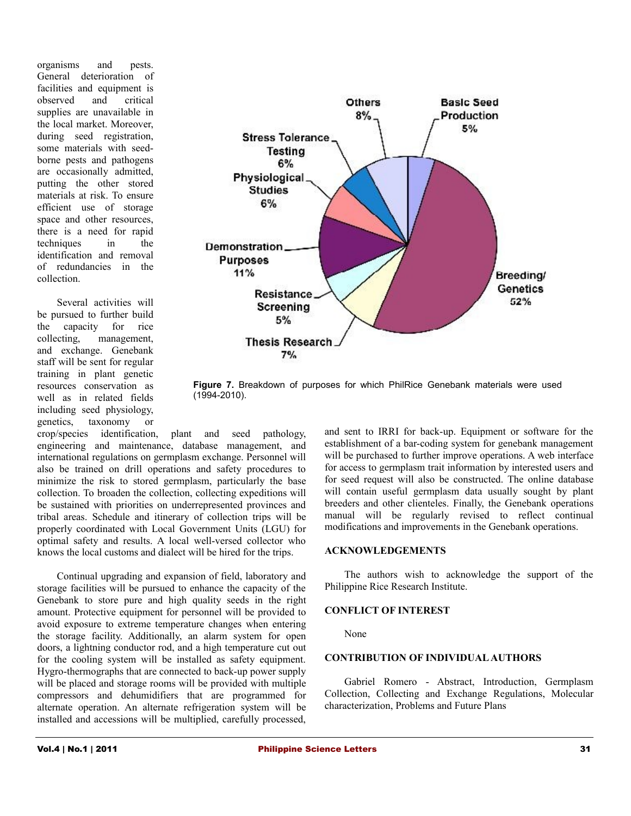organisms and pests. General deterioration of facilities and equipment is observed and critical supplies are unavailable in the local market. Moreover, during seed registration, some materials with seedborne pests and pathogens are occasionally admitted, putting the other stored materials at risk. To ensure efficient use of storage space and other resources, there is a need for rapid techniques in the identification and removal of redundancies in the collection.

Several activities will be pursued to further build the capacity for rice collecting, management, and exchange. Genebank staff will be sent for regular training in plant genetic resources conservation as well as in related fields including seed physiology, genetics, taxonomy or



**Figure 7.** Breakdown of purposes for which PhilRice Genebank materials were used (1994-2010).

crop/species identification, plant and seed pathology, engineering and maintenance, database management, and international regulations on germplasm exchange. Personnel will also be trained on drill operations and safety procedures to minimize the risk to stored germplasm, particularly the base collection. To broaden the collection, collecting expeditions will be sustained with priorities on underrepresented provinces and tribal areas. Schedule and itinerary of collection trips will be properly coordinated with Local Government Units (LGU) for optimal safety and results. A local well-versed collector who knows the local customs and dialect will be hired for the trips.

Continual upgrading and expansion of field, laboratory and storage facilities will be pursued to enhance the capacity of the Genebank to store pure and high quality seeds in the right amount. Protective equipment for personnel will be provided to avoid exposure to extreme temperature changes when entering the storage facility. Additionally, an alarm system for open doors, a lightning conductor rod, and a high temperature cut out for the cooling system will be installed as safety equipment. Hygro-thermographs that are connected to back-up power supply will be placed and storage rooms will be provided with multiple compressors and dehumidifiers that are programmed for alternate operation. An alternate refrigeration system will be installed and accessions will be multiplied, carefully processed,

and sent to IRRI for back-up. Equipment or software for the establishment of a bar-coding system for genebank management will be purchased to further improve operations. A web interface for access to germplasm trait information by interested users and for seed request will also be constructed. The online database will contain useful germplasm data usually sought by plant breeders and other clienteles. Finally, the Genebank operations manual will be regularly revised to reflect continual modifications and improvements in the Genebank operations.

#### **ACKNOWLEDGEMENTS**

The authors wish to acknowledge the support of the Philippine Rice Research Institute.

#### **CONFLICT OF INTEREST**

None

#### **CONTRIBUTION OF INDIVIDUAL AUTHORS**

Gabriel Romero - Abstract, Introduction, Germplasm Collection, Collecting and Exchange Regulations, Molecular characterization, Problems and Future Plans